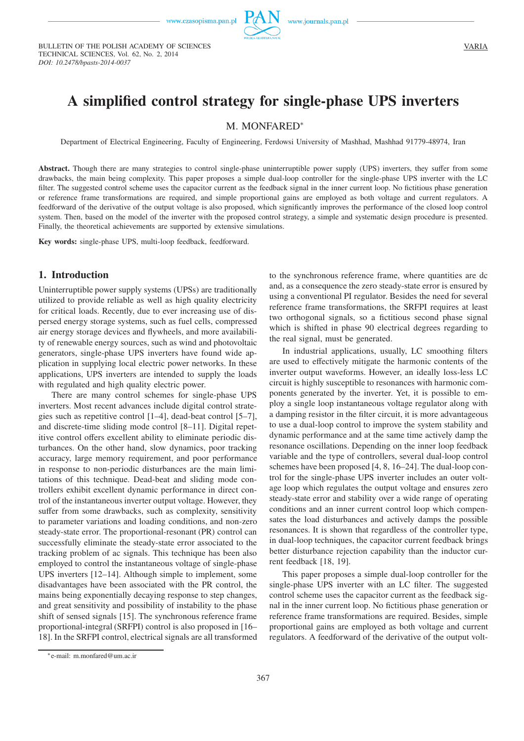

BULLETIN OF THE POLISH ACADEMY OF SCIENCES TECHNICAL SCIENCES, Vol. 62, No. 2, 2014 *DOI: 10.2478/bpasts-2014-0037*

# **A simplified control strategy for single-phase UPS inverters**

## M. MONFARED<sup>∗</sup>

Department of Electrical Engineering, Faculty of Engineering, Ferdowsi University of Mashhad, Mashhad 91779-48974, Iran

**Abstract.** Though there are many strategies to control single-phase uninterruptible power supply (UPS) inverters, they suffer from some drawbacks, the main being complexity. This paper proposes a simple dual-loop controller for the single-phase UPS inverter with the LC filter. The suggested control scheme uses the capacitor current as the feedback signal in the inner current loop. No fictitious phase generation or reference frame transformations are required, and simple proportional gains are employed as both voltage and current regulators. A feedforward of the derivative of the output voltage is also proposed, which significantly improves the performance of the closed loop control system. Then, based on the model of the inverter with the proposed control strategy, a simple and systematic design procedure is presented. Finally, the theoretical achievements are supported by extensive simulations.

**Key words:** single-phase UPS, multi-loop feedback, feedforward.

## **1. Introduction**

Uninterruptible power supply systems (UPSs) are traditionally utilized to provide reliable as well as high quality electricity for critical loads. Recently, due to ever increasing use of dispersed energy storage systems, such as fuel cells, compressed air energy storage devices and flywheels, and more availability of renewable energy sources, such as wind and photovoltaic generators, single-phase UPS inverters have found wide application in supplying local electric power networks. In these applications, UPS inverters are intended to supply the loads with regulated and high quality electric power.

There are many control schemes for single-phase UPS inverters. Most recent advances include digital control strategies such as repetitive control [1–4], dead-beat control [5–7], and discrete-time sliding mode control [8–11]. Digital repetitive control offers excellent ability to eliminate periodic disturbances. On the other hand, slow dynamics, poor tracking accuracy, large memory requirement, and poor performance in response to non-periodic disturbances are the main limitations of this technique. Dead-beat and sliding mode controllers exhibit excellent dynamic performance in direct control of the instantaneous inverter output voltage. However, they suffer from some drawbacks, such as complexity, sensitivity to parameter variations and loading conditions, and non-zero steady-state error. The proportional-resonant (PR) control can successfully eliminate the steady-state error associated to the tracking problem of ac signals. This technique has been also employed to control the instantaneous voltage of single-phase UPS inverters [12–14]. Although simple to implement, some disadvantages have been associated with the PR control, the mains being exponentially decaying response to step changes, and great sensitivity and possibility of instability to the phase shift of sensed signals [15]. The synchronous reference frame proportional-integral (SRFPI) control is also proposed in [16– 18]. In the SRFPI control, electrical signals are all transformed to the synchronous reference frame, where quantities are dc and, as a consequence the zero steady-state error is ensured by using a conventional PI regulator. Besides the need for several reference frame transformations, the SRFPI requires at least two orthogonal signals, so a fictitious second phase signal which is shifted in phase 90 electrical degrees regarding to the real signal, must be generated.

In industrial applications, usually, LC smoothing filters are used to effectively mitigate the harmonic contents of the inverter output waveforms. However, an ideally loss-less LC circuit is highly susceptible to resonances with harmonic components generated by the inverter. Yet, it is possible to employ a single loop instantaneous voltage regulator along with a damping resistor in the filter circuit, it is more advantageous to use a dual-loop control to improve the system stability and dynamic performance and at the same time actively damp the resonance oscillations. Depending on the inner loop feedback variable and the type of controllers, several dual-loop control schemes have been proposed [4, 8, 16–24]. The dual-loop control for the single-phase UPS inverter includes an outer voltage loop which regulates the output voltage and ensures zero steady-state error and stability over a wide range of operating conditions and an inner current control loop which compensates the load disturbances and actively damps the possible resonances. It is shown that regardless of the controller type, in dual-loop techniques, the capacitor current feedback brings better disturbance rejection capability than the inductor current feedback [18, 19].

This paper proposes a simple dual-loop controller for the single-phase UPS inverter with an LC filter. The suggested control scheme uses the capacitor current as the feedback signal in the inner current loop. No fictitious phase generation or reference frame transformations are required. Besides, simple proportional gains are employed as both voltage and current regulators. A feedforward of the derivative of the output volt-

<sup>∗</sup>e-mail: m.monfared@um.ac.ir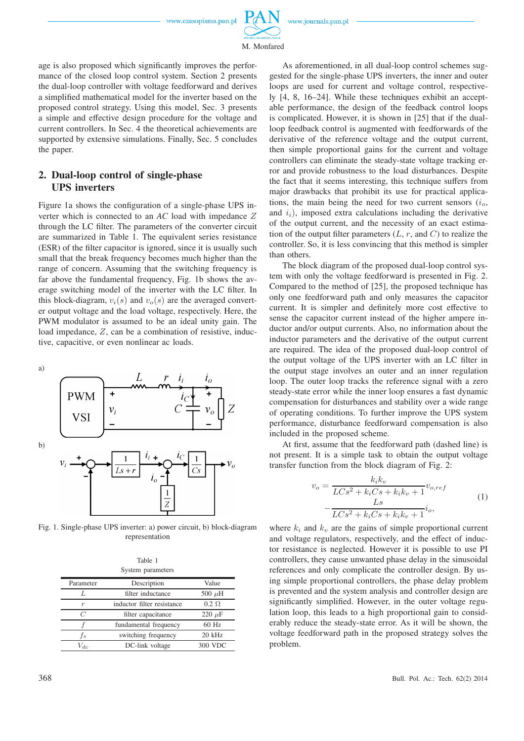

M. Monfared

age is also proposed which significantly improves the performance of the closed loop control system. Section 2 presents the dual-loop controller with voltage feedforward and derives a simplified mathematical model for the inverter based on the proposed control strategy. Using this model, Sec. 3 presents a simple and effective design procedure for the voltage and current controllers. In Sec. 4 the theoretical achievements are supported by extensive simulations. Finally, Sec. 5 concludes the paper.

## **2. Dual-loop control of single-phase UPS inverters**

Figure 1a shows the configuration of a single-phase UPS inverter which is connected to an *AC* load with impedance Z through the LC filter. The parameters of the converter circuit are summarized in Table 1. The equivalent series resistance (ESR) of the filter capacitor is ignored, since it is usually such small that the break frequency becomes much higher than the range of concern. Assuming that the switching frequency is far above the fundamental frequency, Fig. 1b shows the average switching model of the inverter with the LC filter. In this block-diagram,  $v_i(s)$  and  $v_o(s)$  are the averaged converter output voltage and the load voltage, respectively. Here, the PWM modulator is assumed to be an ideal unity gain. The load impedance, Z, can be a combination of resistive, inductive, capacitive, or even nonlinear ac loads.

a)



Fig. 1. Single-phase UPS inverter: a) power circuit, b) block-diagram representation

| Table 1 |                 |
|---------|-----------------|
|         | stem parameters |

| System parameters |                            |              |  |  |  |
|-------------------|----------------------------|--------------|--|--|--|
| Parameter         | Description                | Value        |  |  |  |
|                   | filter inductance          | 500 $\mu$ H  |  |  |  |
| $\boldsymbol{r}$  | inductor filter resistance | $0.2 \Omega$ |  |  |  |
| C                 | filter capacitance         | 220 $\mu$ F  |  |  |  |
|                   | fundamental frequency      | 60 Hz        |  |  |  |
| f,                | switching frequency        | 20 kHz       |  |  |  |
| $V_{dc}$          | DC-link voltage            | 300 VDC      |  |  |  |

As aforementioned, in all dual-loop control schemes suggested for the single-phase UPS inverters, the inner and outer loops are used for current and voltage control, respectively [4, 8, 16–24]. While these techniques exhibit an acceptable performance, the design of the feedback control loops is complicated. However, it is shown in [25] that if the dualloop feedback control is augmented with feedforwards of the derivative of the reference voltage and the output current, then simple proportional gains for the current and voltage controllers can eliminate the steady-state voltage tracking error and provide robustness to the load disturbances. Despite the fact that it seems interesting, this technique suffers from major drawbacks that prohibit its use for practical applications, the main being the need for two current sensors  $(i<sub>o</sub>,$ and  $i_i$ ), imposed extra calculations including the derivative of the output current, and the necessity of an exact estimation of the output filter parameters  $(L, r, \text{ and } C)$  to realize the controller. So, it is less convincing that this method is simpler than others.

The block diagram of the proposed dual-loop control system with only the voltage feedforward is presented in Fig. 2. Compared to the method of [25], the proposed technique has only one feedforward path and only measures the capacitor current. It is simpler and definitely more cost effective to sense the capacitor current instead of the higher ampere inductor and/or output currents. Also, no information about the inductor parameters and the derivative of the output current are required. The idea of the proposed dual-loop control of the output voltage of the UPS inverter with an LC filter in the output stage involves an outer and an inner regulation loop. The outer loop tracks the reference signal with a zero steady-state error while the inner loop ensures a fast dynamic compensation for disturbances and stability over a wide range of operating conditions. To further improve the UPS system performance, disturbance feedforward compensation is also included in the proposed scheme.

At first, assume that the feedforward path (dashed line) is not present. It is a simple task to obtain the output voltage transfer function from the block diagram of Fig. 2:

$$
v_o = \frac{k_i k_v}{LCs^2 + k_i Cs + k_i k_v + 1} v_{o,ref}
$$
  

$$
-\frac{Ls}{LCs^2 + k_i Cs + k_i k_v + 1} i_o,
$$
  
(1)

where  $k_i$  and  $k_v$  are the gains of simple proportional current and voltage regulators, respectively, and the effect of inductor resistance is neglected. However it is possible to use PI controllers, they cause unwanted phase delay in the sinusoidal references and only complicate the controller design. By using simple proportional controllers, the phase delay problem is prevented and the system analysis and controller design are significantly simplified. However, in the outer voltage regulation loop, this leads to a high proportional gain to considerably reduce the steady-state error. As it will be shown, the voltage feedforward path in the proposed strategy solves the problem.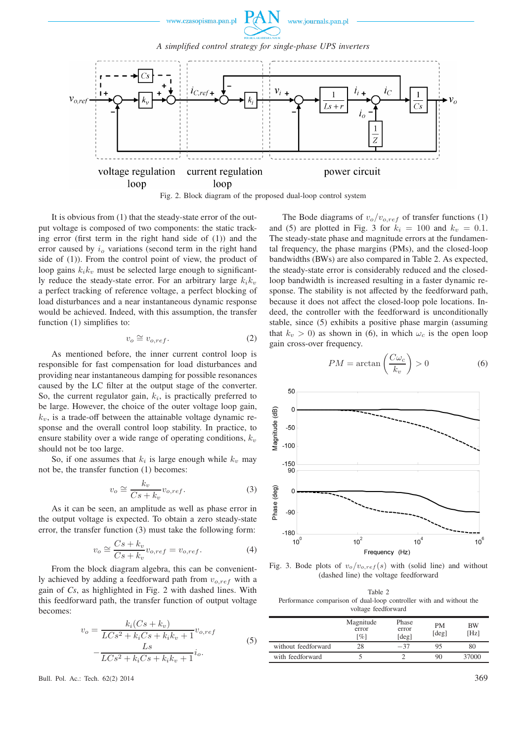

Fig. 2. Block diagram of the proposed dual-loop control system

It is obvious from (1) that the steady-state error of the output voltage is composed of two components: the static tracking error (first term in the right hand side of (1)) and the error caused by  $i<sub>o</sub>$  variations (second term in the right hand side of (1)). From the control point of view, the product of loop gains  $k_i k_i$  must be selected large enough to significantly reduce the steady-state error. For an arbitrary large  $k_i k_v$ a perfect tracking of reference voltage, a perfect blocking of load disturbances and a near instantaneous dynamic response would be achieved. Indeed, with this assumption, the transfer function (1) simplifies to:

$$
v_o \cong v_{o,ref}.\tag{2}
$$

As mentioned before, the inner current control loop is responsible for fast compensation for load disturbances and providing near instantaneous damping for possible resonances caused by the LC filter at the output stage of the converter. So, the current regulator gain,  $k_i$ , is practically preferred to be large. However, the choice of the outer voltage loop gain,  $k_v$ , is a trade-off between the attainable voltage dynamic response and the overall control loop stability. In practice, to ensure stability over a wide range of operating conditions,  $k_v$ should not be too large.

So, if one assumes that  $k_i$  is large enough while  $k_v$  may not be, the transfer function (1) becomes:

$$
v_o \cong \frac{k_v}{Cs + k_v} v_{o,ref}.
$$
 (3)

As it can be seen, an amplitude as well as phase error in the output voltage is expected. To obtain a zero steady-state error, the transfer function (3) must take the following form:

$$
v_o \cong \frac{Cs + k_v}{Cs + k_v} v_{o,ref} = v_{o,ref}.
$$
\n(4)

From the block diagram algebra, this can be conveniently achieved by adding a feedforward path from  $v_{o,ref}$  with a gain of *Cs*, as highlighted in Fig. 2 with dashed lines. With this feedforward path, the transfer function of output voltage becomes:

$$
v_o = \frac{k_i(Cs + k_v)}{LCs^2 + k_iCs + k_ik_v + 1} v_{o,ref}
$$
  

$$
-\frac{Ls}{LCs^2 + k_iCs + k_ik_v + 1} i_o.
$$
 (5)

Bull. Pol. Ac.: Tech. 62(2) 2014 369

The Bode diagrams of  $v_o/v_{o,ref}$  of transfer functions (1) and (5) are plotted in Fig. 3 for  $k_i = 100$  and  $k_v = 0.1$ . The steady-state phase and magnitude errors at the fundamental frequency, the phase margins (PMs), and the closed-loop bandwidths (BWs) are also compared in Table 2. As expected, the steady-state error is considerably reduced and the closedloop bandwidth is increased resulting in a faster dynamic response. The stability is not affected by the feedforward path, because it does not affect the closed-loop pole locations. Indeed, the controller with the feedforward is unconditionally stable, since (5) exhibits a positive phase margin (assuming that  $k_v > 0$ ) as shown in (6), in which  $\omega_c$  is the open loop gain cross-over frequency.

$$
PM = \arctan\left(\frac{C\omega_c}{k_v}\right) > 0\tag{6}
$$



Fig. 3. Bode plots of  $v_o/v_{o,ref}(s)$  with (solid line) and without (dashed line) the voltage feedforward

| Table 2                                                             |
|---------------------------------------------------------------------|
| Performance comparison of dual-loop controller with and without the |
| voltage feedforward                                                 |

|                     | Magnitude<br>error<br>[%] | Phase<br>error<br>[deg] | <b>PM</b><br>$\lceil \text{deg} \rceil$ | ВW<br>[Hz] |
|---------------------|---------------------------|-------------------------|-----------------------------------------|------------|
| without feedforward | 28                        | $-37$                   | 95                                      | 80         |
| with feedforward    |                           |                         | 90                                      | 37000      |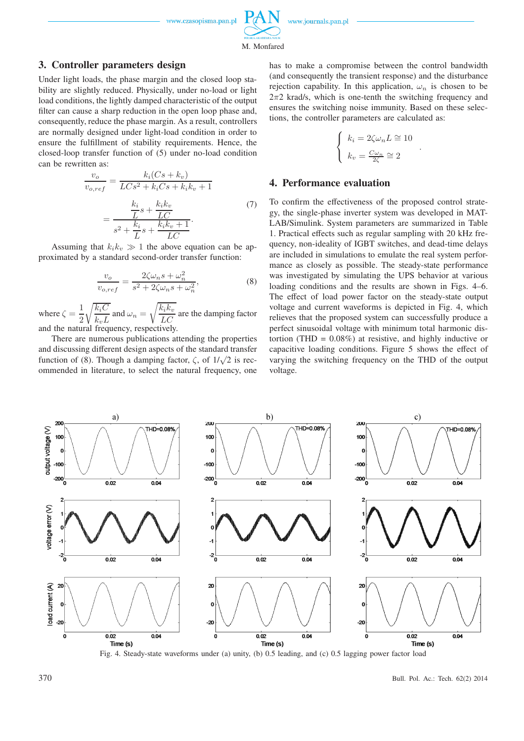

M. Monfared

## **3. Controller parameters design**

Under light loads, the phase margin and the closed loop stability are slightly reduced. Physically, under no-load or light load conditions, the lightly damped characteristic of the output filter can cause a sharp reduction in the open loop phase and, consequently, reduce the phase margin. As a result, controllers are normally designed under light-load condition in order to ensure the fulfillment of stability requirements. Hence, the closed-loop transfer function of (5) under no-load condition can be rewritten as:

$$
\frac{v_o}{v_{o,ref}} = \frac{k_i(Cs + k_v)}{LCs^2 + k_iCs + k_ik_v + 1}
$$

$$
= \frac{\frac{k_i}{L}s + \frac{k_i k_v}{LC}}{s^2 + \frac{k_i}{L}s + \frac{k_i k_v + 1}{LC}}.
$$
(7)

Assuming that  $k_i k_v \gg 1$  the above equation can be approximated by a standard second-order transfer function:

$$
\frac{v_o}{v_{o,ref}} = \frac{2\zeta\omega_n s + \omega_n^2}{s^2 + 2\zeta\omega_n s + \omega_n^2},\tag{8}
$$

where  $\zeta = \frac{1}{2}$ 2  $\sqrt{k_iC}$  $\frac{k_v c}{k_v L}$  and  $\omega_n =$  $\sqrt{\frac{k_i k_v}{LC}}$  are the damping factor and the natural frequency, respectively.

There are numerous publications attending the properties and discussing different design aspects of the standard transfer function of (8). Though a damping factor,  $\zeta$ , of  $1/\sqrt{2}$  is recommended in literature, to select the natural frequency, one has to make a compromise between the control bandwidth (and consequently the transient response) and the disturbance rejection capability. In this application,  $\omega_n$  is chosen to be  $2\pi$ 2 krad/s, which is one-tenth the switching frequency and ensures the switching noise immunity. Based on these selections, the controller parameters are calculated as:

$$
\begin{cases} k_i = 2\zeta\omega_n L \cong 10\\ k_v = \frac{C\omega_n}{2\zeta} \cong 2 \end{cases}
$$

.

## **4. Performance evaluation**

To confirm the effectiveness of the proposed control strategy, the single-phase inverter system was developed in MAT-LAB/Simulink. System parameters are summarized in Table 1. Practical effects such as regular sampling with 20 kHz frequency, non-ideality of IGBT switches, and dead-time delays are included in simulations to emulate the real system performance as closely as possible. The steady-state performance was investigated by simulating the UPS behavior at various loading conditions and the results are shown in Figs. 4–6. The effect of load power factor on the steady-state output voltage and current waveforms is depicted in Fig. 4, which relieves that the proposed system can successfully produce a perfect sinusoidal voltage with minimum total harmonic distortion (THD =  $0.08\%$ ) at resistive, and highly inductive or capacitive loading conditions. Figure 5 shows the effect of varying the switching frequency on the THD of the output voltage.



Fig. 4. Steady-state waveforms under (a) unity, (b) 0.5 leading, and (c) 0.5 lagging power factor load

370 Bull. Pol. Ac.: Tech. 62(2) 2014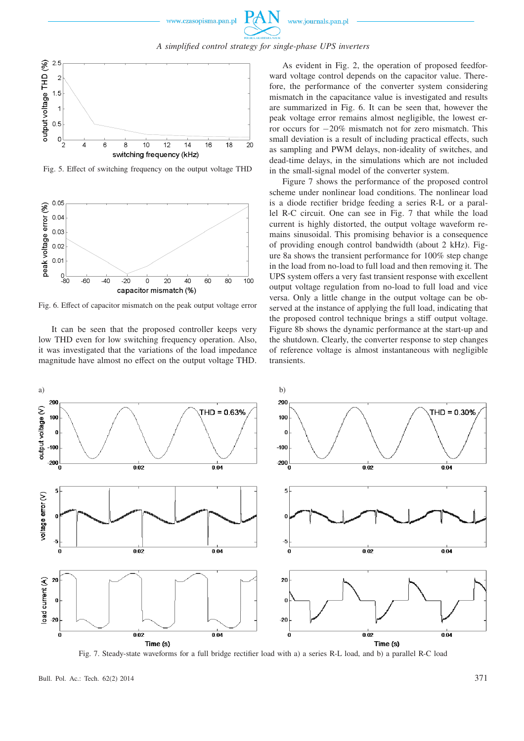### *A simplified control strategy for single-phase UPS inverters*



Fig. 5. Effect of switching frequency on the output voltage THD



Fig. 6. Effect of capacitor mismatch on the peak output voltage error

It can be seen that the proposed controller keeps very low THD even for low switching frequency operation. Also, it was investigated that the variations of the load impedance magnitude have almost no effect on the output voltage THD.

As evident in Fig. 2, the operation of proposed feedforward voltage control depends on the capacitor value. Therefore, the performance of the converter system considering mismatch in the capacitance value is investigated and results are summarized in Fig. 6. It can be seen that, however the peak voltage error remains almost negligible, the lowest error occurs for −20% mismatch not for zero mismatch. This small deviation is a result of including practical effects, such as sampling and PWM delays, non-ideality of switches, and dead-time delays, in the simulations which are not included in the small-signal model of the converter system.

Figure 7 shows the performance of the proposed control scheme under nonlinear load conditions. The nonlinear load is a diode rectifier bridge feeding a series R-L or a parallel R-C circuit. One can see in Fig. 7 that while the load current is highly distorted, the output voltage waveform remains sinusoidal. This promising behavior is a consequence of providing enough control bandwidth (about 2 kHz). Figure 8a shows the transient performance for 100% step change in the load from no-load to full load and then removing it. The UPS system offers a very fast transient response with excellent output voltage regulation from no-load to full load and vice versa. Only a little change in the output voltage can be observed at the instance of applying the full load, indicating that the proposed control technique brings a stiff output voltage. Figure 8b shows the dynamic performance at the start-up and the shutdown. Clearly, the converter response to step changes of reference voltage is almost instantaneous with negligible transients.



Fig. 7. Steady-state waveforms for a full bridge rectifier load with a) a series R-L load, and b) a parallel R-C load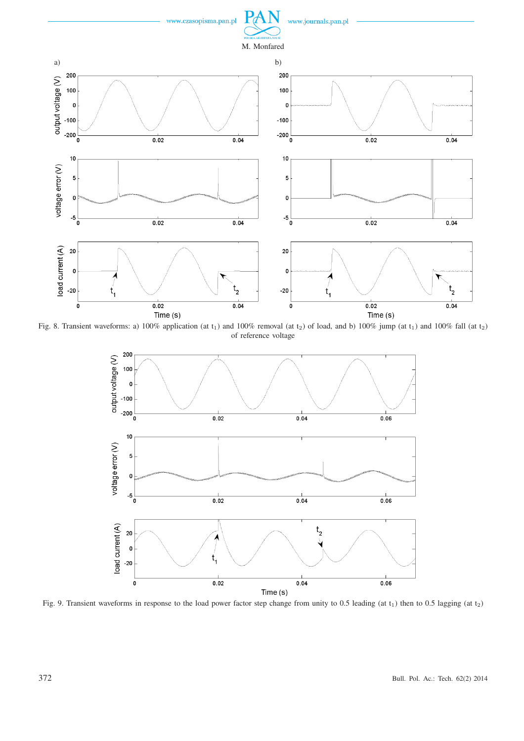

Fig. 8. Transient waveforms: a) 100% application (at  $t_1$ ) and 100% removal (at  $t_2$ ) of load, and b) 100% jump (at  $t_1$ ) and 100% fall (at  $t_2$ ) of reference voltage



Fig. 9. Transient waveforms in response to the load power factor step change from unity to 0.5 leading (at  $t_1$ ) then to 0.5 lagging (at  $t_2$ )